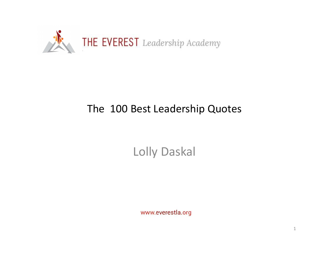

# The 100 Best Leadership Quotes

Lolly Daskal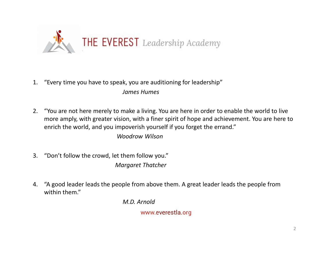

- James Humes
- <sup>2.</sup> THE EVEREST Leadership Academy<br>
2. "You are not here merely to make a living. You are here in order to enable the world to live<br>
2. "You are not here merely to make a living. You are here in order to enable the world more amply, with greater vision, with a finer spirit of hope and achievement. You are here to enrich the world, and you impoverish yourself if you forget the errand." <sup>2</sup><br>3. "Every time you have to speak, you are auditioning for lea<br>3. "You are not here merely to make a living. You are here in<br>3. "You are not here merely to make a living. You are here in<br>3. "Don't follow the crowd, let 4. "Every time you have to speak, you are auditioning for leadership"<br>
4 James Humes<br>
2. "You are not here merely to make a living. You are here in order to enable the world to live<br>
more amply, with greater vision, with a

Woodrow Wilson

- Margaret Thatcher
- within them."

M.D. Arnold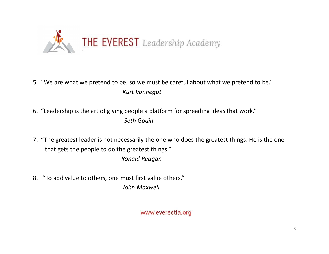

- 5. "We are what we pretend to be, so we must be careful about what we pretend to be." Kurt Vonnegut
- 6. "Leadership is the art of giving people a platform for spreading ideas that work." Seth Godin
- 7. "The greatest leader is not necessarily the one who does the greatest things. He is the one that gets the people to do the greatest things." Ronald Reagan
- 8. "To add value to others, one must first value others." John Maxwell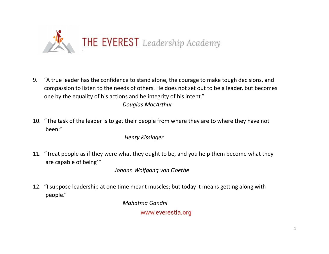

THE EVEREST Leadership Academy<br>9. "A true leader has the confidence to stand alone, the courage to make tough decisions, and<br>0 compassion to listen to the needs of others. He does not set out to be a leader, but becomes<br>on compassion to listen to the needs of others. He does not set out to be a leader, but becomes one by the equality of his actions and he integrity of his intent." 10. "The task of the leader is to get their people from where they are to where they have not the needs of others. He does not set out to be a leader, but becomes<br>one by the equality of his actions and he integrity of his 11. "Treat people as if they were what they ought to be, and you help decisions, and<br>
11. "The task of the leader is to get their people from where they are to where they have not<br>
12. "The task of the leader is to get th 12. "I suppose leadership at one time meant muscles; but today it means getting a leader, but becomes<br>
12. "The task of the leader is to get their people from where they are to where they have not<br>
12. "The task of the lea

Douglas MacArthur

been."

Henry Kissinger

are capable of being'"

Johann Wolfgang von Goethe

people."

Mahatma Gandhi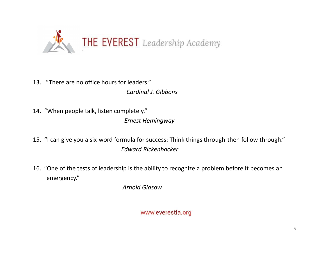

- 13. "There are no office hours for leaders." Cardinal J. Gibbons
- 14. "When people talk, listen completely." Ernest Hemingway
- 15. "I can give you a six-word formula for success: Think things through-then follow through." Edward Rickenbacker 16. "There are no office hours for leaders."<br>
2016 Containers of Contains of Law Contains of Law Contains of Law Contains of Law Contains of the six-word formula for success: Think things through-then follow through."<br>
16.
- emergency."

Arnold Glasow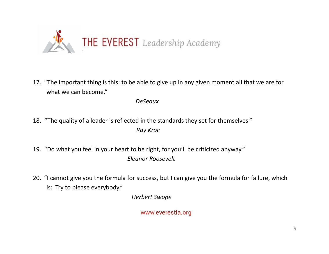

what we can become."

DeSeaux

- 18. "The quality of a leader is reflected in the standards they set for themselves." Ray Kroc
- 19. "Do what you feel in your heart to be right, for you'll be criticized anyway." Eleanor Roosevelt
- 21. "The important thing is this: to be able to give up in any given moment all that we are for<br>what we can become."<br>DeSeaux<br>18. "The quality of a leader is reflected in the standards they set for themselves."<br> $Ray Kroc$ <br>19. is: Try to please everybody."

Herbert Swope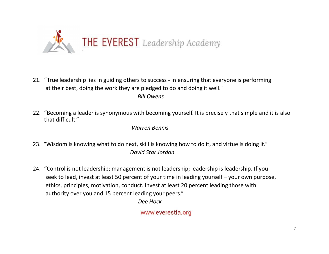

- THE EVEREST Leadership Academy<br>21. "True leadership lies in guiding others to success in ensuring that everyone is performing<br>32. "True leadership lies in guiding others to success in ensuring that everyone is performi at their best, doing the work they are pledged to do and doing it well." Bill Owens **22.** "True leadership lies in guiding others to success - in ensuring that everyone is performing at their best, doing the work they are pledged to do and doing it well."<br>Bill Owens<br>22. "Becoming a leader is synonymous wi
- that difficult."

Warren Bennis

- 23. "Wisdom is knowing what to do next, skill is knowing how to do it, and virtue is doing it." David Star Jordan
- 21. "True leadership lies in guiding others to success in ensuring that everyone is performing<br>
22. "Becoming a leader is synonymous with becoming yourself. It is precisely that simple and it is also<br>
22. "Becoming a le True leadership lies in guiding others to success - in ensuring that everyone is performing<br>
at their best, doing the work they are pledged to do and doing it well."<br> *Bill Owens*<br>
(Becoming a leader is synonymous with bec ethics, principles, motivation, conduct. Invest at least 20 percent leading those with authority over you and 15 percent leading your peers."

Dee Hock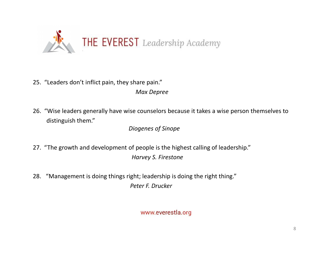

- 25. "Leaders don't inflict pain, they share pain." Max Depree
- 26. "Wise leaders generally have wise counselors because it takes a wise person themselves to distinguish them." 22. "Leaders don't inflict pain, they share pain."<br>27. "Leaders generally have wise counselors because it takes a wise person themselves to<br>28. "Wise leaders generally have wise counselors because it takes a wise person th

Diogenes of Sinope

- Harvey S. Firestone
- 28. "Management is doing things right; leadership is doing the right thing." Peter F. Drucker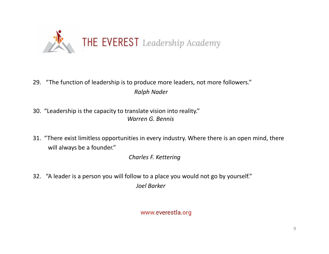

- 29. "The function of leadership is to produce more leaders, not more followers." Ralph Nader
- Warren G. Bennis
- 31. "The function of leadership is to produce more leaders, not more followers."<br>
31. "Leadership is the capacity to translate vision into reality."<br>
31. "There exist limitless opportunities in every industry. Where there will always be a founder."

Charles F. Kettering

32. "A leader is a person you will follow to a place you would not go by yourself." Joel Barker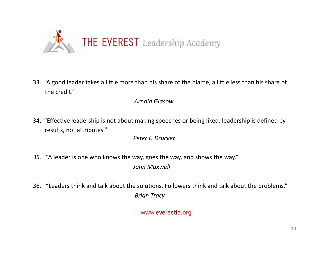

the credit."

# Arnold Glasow

results, not attributes."

Peter F. Drucker

- 35. "A leader is one who knows the way, goes the way, and shows the way." John Maxwell
- 36. "Leaders think and talk about the solutions. Followers think and talk about the problems." Brian Tracy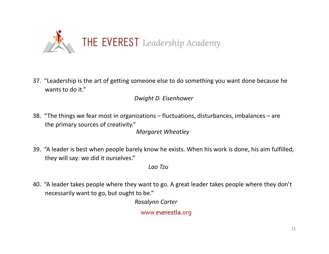

wants to do it."

# Dwight D. Eisenhower

- the primary sources of creativity." Margaret Wheatley 37. "Leadership is the art of getting someone else to do something you want done because he<br>wants to do it."<br>Dwight D. Eisenhower<br>38. "The things we fear most in organizations – fluctuations, disturbances, imbalances – ar 40. "A leader shapes people between they want to getting someone else to do something you want done because ne<br>
40. "The things we fear most in organizations – fluctuations, disturbances, imbalances – are<br>
the primary sour
- they will say: we did it ourselves."

Lao Tzu

necessarily want to go, but ought to be."

Rosalynn Carter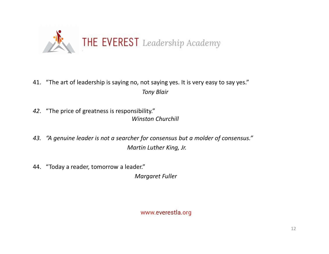

- 41. "The art of leadership is saying no, not saying yes. It is very easy to say yes." Tony Blair
- 42. "The price of greatness is responsibility." Winston Churchill
- 43. "A genuine leader is not a searcher for consensus but a molder of consensus." Martin Luther King, Jr.
- 44. "Today a reader, tomorrow a leader."

Margaret Fuller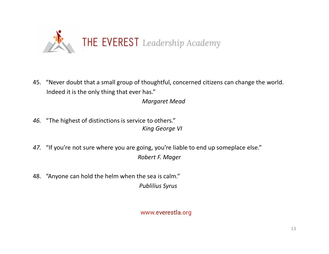

45. "Never doubt that a small group of thoughtful, concerned citizens can change the world. Indeed it is the only thing that ever has."

Margaret Mead

- 46. "The highest of distinctions is service to others." King George VI
- 47. "If you're not sure where you are going, you're liable to end up someplace else." Robert F. Mager thoughtiul, concerned citizens can change the world.<br>
In has."<br> *Margaret Mead*<br>
ce to others."<br> *King George VI*<br>
coing, you're liable to end up someplace else."<br>
Robert F. Mager<br>
he sea is calm."<br>
Publilius Syrus<br>
WWW.ev
- 48. "Anyone can hold the helm when the sea is calm."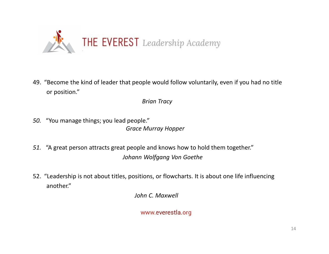

or position." 49. "Become the kind of leader that people would follow voluntarily, even if you had no title<br>
or position."<br> *Brian Tracy*<br>
56. "You manage things; you lead people."<br> *Grace Murray Hopper*<br>
51. "A great person attracts gr

Brian Tracy

- 50. "You manage things; you lead people." Grace Murray Hopper
- 51. "A great person attracts great people and knows how to hold them together." Johann Wolfgang Von Goethe
- another."

John C. Maxwell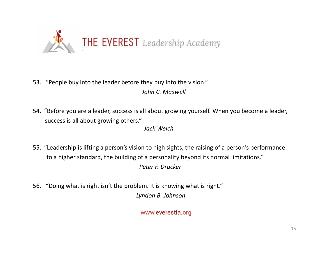

- 53. "People buy into the leader before they buy into the vision." John C. Maxwell
- success is all about growing others."

Jack Welch

- 55. "People buy into the leader before they buy into the vision."<br> *John C. Maxwell*<br>
54. "Before you are a leader, success is all about growing yourself. When you become a leader,<br>
success is all about growing others."<br> to a higher standard, the building of a personality beyond its normal limitations." Peter F. Drucker
- 56. "Doing what is right isn't the problem. It is knowing what is right." Lyndon B. Johnson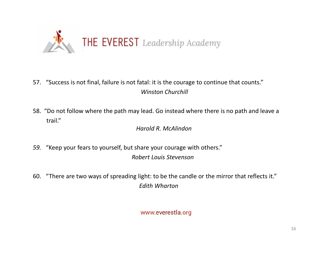

- 57. "Success is not final, failure is not fatal: it is the courage to continue that counts." Winston Churchill
- trail."

Harold R. McAlindon

- 59. "Keep your fears to yourself, but share your courage with others." Robert Louis Stevenson
- 60. "There are two ways of spreading light: to be the candle or the mirror that reflects it." Edith Wharton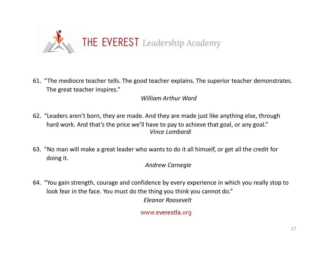

The great teacher inspires."

# William Arthur Ward

- **EVEREST** Leadership Academy<br> **61.** "The mediocre teacher tells. The good teacher explains. The superior teacher demonstrates.<br>
The great teacher inspires."<br>
William Arthur Ward<br> **62.** "Leaders aren't born, they are made. hard work. And that's the price we'll have to pay to achieve that goal, or any goal." Vince Lombardi 61. "The mediocre teacher tells. The good teacher explains. The superior teacher demonstrates.<br>
The great teacher inspires."<br>
William Arthur Ward<br>
62. "Leaders aren't born, they are made. And they are made just like anyth 61. "The mediocre teacher tells. The good teacher explains. The superior teacher demonstrates.<br>
The great teacher inspires."<br>
William Arthur Ward<br>
62. "Leaders aren't born, they are made. And they are made just like anyth
- doing it.

# Andrew Carnegie

look fear in the face. You must do the thing you think you cannot do." Eleanor Roosevelt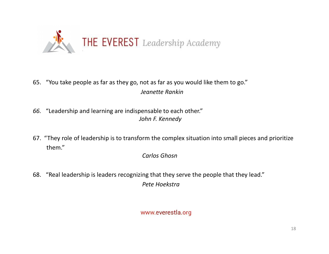

- 65. "You take people as far as they go, not as far as you would like them to go." Jeanette Rankin
- 66. "Leadership and learning are indispensable to each other." John F. Kennedy
- **EXEMPLE ST** Leadership Academy<br>
65. "You take people as far as they go, not as far as you would like them to go."<br> *Senette Rankin*<br>
66. "Leadership and learning are indispensable to each other."<br> *John F. Kennedy*<br>
67. " them."

Carlos Ghosn

68. "Real leadership is leaders recognizing that they serve the people that they lead." Pete Hoekstra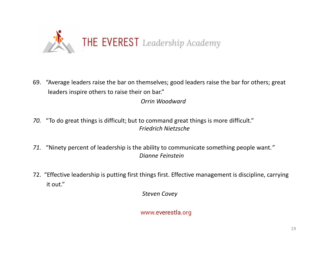

69. "Average leaders raise the bar on themselves; good leaders raise the bar for others; great leaders inspire others to raise their on bar." 72. "Average leaders raise the bar on themselves; good leaders raise the bar for others; great<br>
12. "To do great things is difficult; but to command great things is more difficult."<br>
12. "Ninety percent of leadership is th

Orrin Woodward

- 70. "To do great things is difficult; but to command great things is more difficult." Friedrich Nietzsche
- 71. "Ninety percent of leadership is the ability to communicate something people want." Dianne Feinstein
- it out."

Steven Covey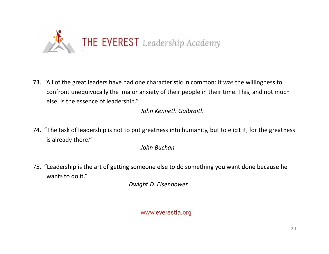

THE EVEREST Leadership Academy<br>
73. "All of the great leaders have had one characteristic in common: it was the willingness to<br>
confront unequivocally the major anxiety of their people in their time. This, and not much<br>
su confront unequivocally the major anxiety of their people in their time. This, and not much else, is the essence of leadership." THE EVEREST Leadership Academy<br>
73. "All of the great leaders have had one characteristic in common: it was the willingness to<br>
confront unequivocally the major anxiety of their people in their time. This, and not much<br>
el 73. "All of the great leaders have had one characteristic in common: it was the willingness to<br>
confront unequivocally the major anxiety of their people in their time. This, and not much<br>
else, is the essence of leadershi

John Kenneth Galbraith

is already there."

John Buchan

wants to do it."

Dwight D. Eisenhower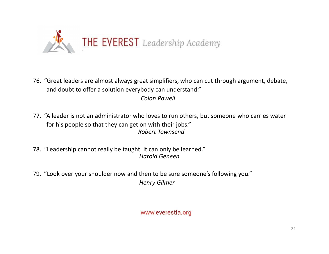

- THE EVEREST Leadership Academy<br>76. "Great leaders are almost always great simplifiers, who can cut through argument, debate,<br>and doubt to offer a solution everybody can understand."<br>Colon Powell and doubt to offer a solution everybody can understand." Colon Powell THE EVEREST Leadership Academy<br>
76. "Great leaders are almost always great simplifiers, who can cut through argument, debate,<br>
and doubt to offer a solution everybody can understand."<br> *Colon Powell*<br>
77. "A leader is not 1992. "The Calculation of the Lines of the Magnetius of the Magnetius of the Tender of the Schon Powell<br>
1993. "A leader is not an administrator who loves to run others, but someone<br>
1998. "Leadership cannot really be taug 76. "Great leaders are almost always great simplifiers, who can cut through argument, debate,<br>
2010 and doubt to offer a solution everybody can understand."<br>
2010 Powell<br>
2010 Powell<br>
2010 Powell<br>
2010 Powell<br>
2010 Powell<br>
- for his people so that they can get on with their jobs." Robert Townsend
- Harold Geneen
- Henry Gilmer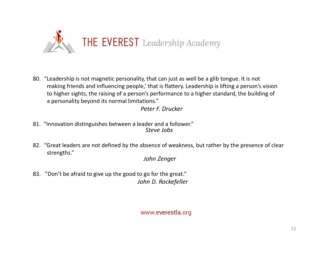

**EVEREST** Leadership Academy<br>
80. "Leadership is not magnetic personality, that can just as well be a glib tongue. It is not<br>
making friends and influencing people,' that is flattery. Leadership is lifting a person's visio making friends and influencing people,' that is flattery. Leadership is lifting a person's vision to higher sights, the raising of a person's performance to a higher standard, the building of a personality beyond its normal limitations." **EXECT ARE INTERT ACT ARE SO A SOLUTE ARE SOLUTE ARE SOLUTE SOLUTE:**<br>
80. "Leadership is not magnetic personality, that can just as well be a glib tongue. It is not making friends and influencing people,' that is flattery.

Peter F. Drucker

- 81. "Innovation distinguishes between a leader and a follower." Steve Jobs
- strengths."

John Zenger

83. "Don't be afraid to give up the good to go for the great." John D. Rockefeller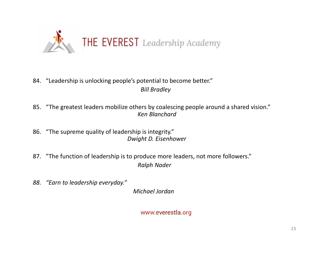

# 84. "Leadership is unlocking people's potential to become better." Bill Bradley

- 85. "The greatest leaders mobilize others by coalescing people around a shared vision." Ken Blanchard
- 86. "The supreme quality of leadership is integrity." Dwight D. Eisenhower
- 87. "The function of leadership is to produce more leaders, not more followers." Ralph Nader
- 88. "Earn to leadership everyday."

Michael Jordan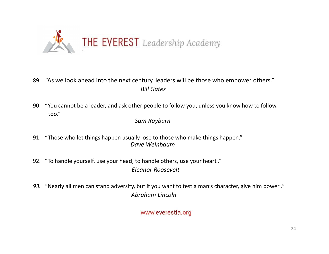

- 89. "As we look ahead into the next century, leaders will be those who empower others." Bill Gates
- 90. "You cannot be a leader, and ask other people to follow you, unless you know how to follow. too."

Sam Rayburn

- 91. "Those who let things happen usually lose to those who make things happen." Dave Weinbaum
- 92. "To handle yourself, use your head; to handle others, use your heart ." Eleanor Roosevelt
- 93. "Nearly all men can stand adversity, but if you want to test a man's character, give him power ." Abraham Lincoln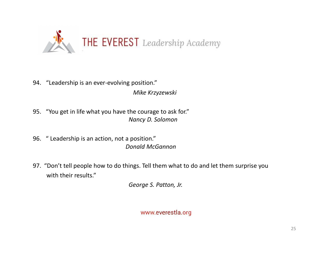

- 94. "Leadership is an ever-evolving position." Mike Krzyzewski
- 95. "You get in life what you have the courage to ask for." Nancy D. Solomon
- 96. " Leadership is an action, not a position." Donald McGannon
- 94. "Leadership is an ever-evolving position."<br>
95. "You get in life what you have the courage to ask for."<br>
96. "Leadership is an action, not a position."<br>
97. "Don't tell people how to do things. Tell them what to do and with their results."

George S. Patton, Jr.